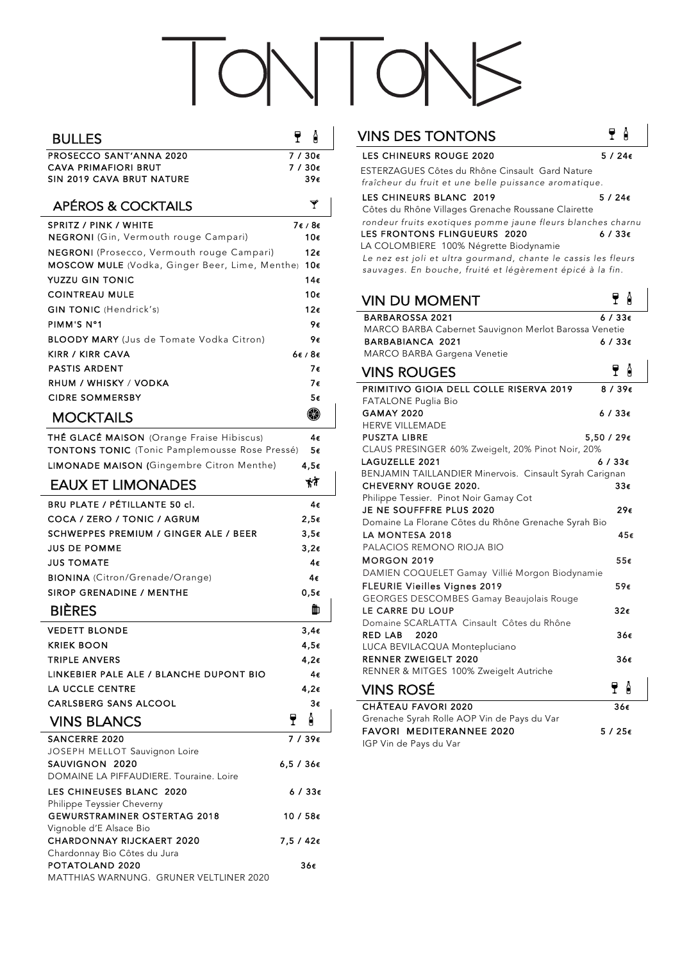## TONTONS

| <b>BULLES</b>                                                                              | ę         | A                               |
|--------------------------------------------------------------------------------------------|-----------|---------------------------------|
| PROSECCO SANT'ANNA 2020                                                                    |           | 7⁄30€                           |
| <b>CAVA PRIMAFIORI BRUT</b>                                                                |           | 7 / 30€                         |
| SIN 2019 CAVA BRUT NATURE                                                                  |           | 39€                             |
| <b>APÉROS &amp; COCKTAILS</b>                                                              |           | Y                               |
| <b>SPRITZ / PINK / WHITE</b><br>NEGRONI (Gin, Vermouth rouge Campari)                      |           | 7€/8€<br>10€                    |
| NEGRONI (Prosecco, Vermouth rouge Campari)                                                 |           | $12\varepsilon$                 |
| <b>MOSCOW MULE</b> (Vodka, Ginger Beer, Lime, Menthe)                                      |           | 10€                             |
| <b>YUZZU GIN TONIC</b>                                                                     |           | 14€                             |
| <b>COINTREAU MULE</b>                                                                      |           | 10€                             |
| <b>GIN TONIC</b> (Hendrick's)                                                              |           | 12€                             |
| PIMM'S N°1                                                                                 |           | 9€                              |
| <b>BLOODY MARY</b> (Jus de Tomate Vodka Citron)                                            |           | 9€                              |
| KIRR / KIRR CAVA                                                                           |           | $6\varepsilon$ / $8\varepsilon$ |
| <b>PASTIS ARDENT</b>                                                                       |           | 7€                              |
| RHUM / WHISKY / VODKA                                                                      |           | 7€                              |
| <b>CIDRE SOMMERSBY</b>                                                                     |           | 5€                              |
| <b>MOCKTAILS</b>                                                                           |           | R                               |
| THÉ GLACÉ MAISON (Orange Fraise Hibiscus)                                                  |           | 4€                              |
| TONTONS TONIC (Tonic Pamplemousse Rose Pressé)                                             |           | 5€                              |
| LIMONADE MAISON (Gingembre Citron Menthe)                                                  |           | 4,5€                            |
| <b>EAUX ET LIMONADES</b>                                                                   |           | がぎ                              |
| BRU PLATE / PÉTILLANTE 50 cl.                                                              |           | 4€                              |
| COCA / ZERO / TONIC / AGRUM                                                                |           | 2,5€                            |
| SCHWEPPES PREMIUM / GINGER ALE / BEER                                                      |           | $3,5\varepsilon$                |
| <b>JUS DE POMME</b>                                                                        |           | 3,2€                            |
| <b>JUS TOMATE</b>                                                                          |           | 4€                              |
| <b>BIONINA</b> (Citron/Grenade/Orange)                                                     |           | 4€                              |
| SIROP GRENADINE / MENTHE                                                                   |           | 0,5€                            |
| <b>BIÈRES</b>                                                                              |           | m                               |
| <b>VEDETT BLONDE</b>                                                                       |           | $3,4\varepsilon$                |
| KRIEK BOON                                                                                 |           | 4,5€                            |
| <b>TRIPLE ANVERS</b>                                                                       |           | 4,2€                            |
| LINKEBIER PALE ALE / BLANCHE DUPONT BIO                                                    |           | 4€                              |
| <b>LA UCCLE CENTRE</b>                                                                     |           | 4,2€                            |
| <b>CARLSBERG SANS ALCOOL</b>                                                               |           | З€                              |
| <b>VINS BLANCS</b>                                                                         | ę         | Ĥ                               |
| <b>SANCERRE 2020</b>                                                                       |           | 7 / 39€                         |
| JOSEPH MELLOT Sauvignon Loire<br>SAUVIGNON 2020<br>DOMAINE LA PIFFAUDIERE. Touraine. Loire | 6,5 / 36€ |                                 |
| LES CHINEUSES BLANC 2020                                                                   |           | $6/33\epsilon$                  |
| Philippe Teyssier Cheverny<br><b>GEWURSTRAMINER OSTERTAG 2018</b>                          | 10 / 58€  |                                 |
| Vignoble d'E Alsace Bio<br><b>CHARDONNAY RIJCKAERT 2020</b>                                | 7,5 / 42€ |                                 |
| Chardonnay Bio Côtes du Jura                                                               |           |                                 |
| POTATOLAND 2020<br>MATTHIAS WARNUNG. GRUNER VELTLINER 2020                                 |           | 36€                             |

| <b>VINS DES TONTONS</b>                                                                                  | Ů<br>Y            |
|----------------------------------------------------------------------------------------------------------|-------------------|
| <b>LES CHINEURS ROUGE 2020</b>                                                                           | $5/24\epsilon$    |
| ESTERZAGUES Côtes du Rhône Cinsault Gard Nature                                                          |                   |
| fraîcheur du fruit et une belle puissance aromatique.                                                    |                   |
| LES CHINEURS BLANC 2019                                                                                  | $5/24\epsilon$    |
| Côtes du Rhône Villages Grenache Roussane Clairette                                                      |                   |
| rondeur fruits exotiques pomme jaune fleurs blanches charnu                                              |                   |
| LES FRONTONS FLINGUEURS 2020                                                                             | $6/33\epsilon$    |
| LA COLOMBIERE 100% Négrette Biodynamie<br>Le nez est joli et ultra gourmand, chante le cassis les fleurs |                   |
| sauvages. En bouche, fruité et légèrement épicé à la fin.                                                |                   |
|                                                                                                          |                   |
| <b>VIN DU MOMENT</b>                                                                                     | Y A               |
| <b>BARBAROSSA 2021</b>                                                                                   | $6/33\epsilon$    |
| MARCO BARBA Cabernet Sauvignon Merlot Barossa Venetie                                                    |                   |
| <b>BARBABIANCA 2021</b>                                                                                  | 6 / 33€           |
| MARCO BARBA Gargena Venetie                                                                              |                   |
| <b>VINS ROUGES</b>                                                                                       | Ĥ<br>Y.           |
| PRIMITIVO GIOIA DELL COLLE RISERVA 2019                                                                  | $8/39\epsilon$    |
| FATALONE Puglia Bio                                                                                      |                   |
| <b>GAMAY 2020</b>                                                                                        | 6 / 33€           |
| <b>HERVE VILLEMADE</b>                                                                                   |                   |
| <b>PUSZTA LIBRE</b>                                                                                      | 5,50 / 29€        |
| CLAUS PRESINGER 60% Zweigelt, 20% Pinot Noir, 20%<br>LAGUZELLE 2021                                      | 6 / 33 $\epsilon$ |
| BENJAMIN TAILLANDIER Minervois. Cinsault Syrah Carignan                                                  |                   |
| <b>CHEVERNY ROUGE 2020.</b>                                                                              | 33€               |
| Philippe Tessier. Pinot Noir Gamay Cot                                                                   |                   |
| JE NE SOUFFFRE PLUS 2020                                                                                 | 29€               |
| Domaine La Florane Côtes du Rhône Grenache Syrah Bio                                                     |                   |
| <b>LA MONTESA 2018</b>                                                                                   | 45€               |
| PALACIOS REMONO RIOJA BIO<br><b>MORGON 2019</b>                                                          | 55€               |
| DAMIEN COQUELET Gamay Villié Morgon Biodynamie                                                           |                   |
| <b>FLEURIE Vieilles Vignes 2019</b>                                                                      | 59€               |
| GEORGES DESCOMBES Gamay Beaujolais Rouge                                                                 |                   |
| LE CARRE DU LOUP                                                                                         | 32€               |
| Domaine SCARLATTA Cinsault Côtes du Rhône                                                                |                   |
| <b>RED LAB</b><br>2020                                                                                   | 36€               |
| LUCA BEVILACQUA Montepluciano                                                                            |                   |
| <b>RENNER ZWEIGELT 2020</b><br>RENNER & MITGES 100% Zweigelt Autriche                                    | 36€               |
|                                                                                                          |                   |
| <b>VINS ROSÉ</b>                                                                                         | Y A               |
| <b>CHÂTEAU FAVORI 2020</b>                                                                               | 36€               |
| Grenache Syrah Rolle AOP Vin de Pays du Var                                                              |                   |
| <b>FAVORI MEDITERANNEE 2020</b>                                                                          | $5/25\epsilon$    |

IGP Vin de Pays du Var